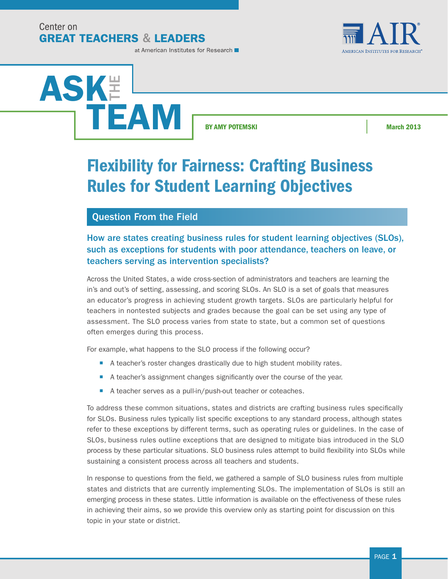Center on **GREAT TEACHERS & LEADERS** 



at American Institutes for Research



by AMY POTEMSKI March 2013

# Flexibility for Fairness: Crafting Business Rules for Student Learning Objectives

### Question From the Field

### How are states creating business rules for student learning objectives (SLOs), such as exceptions for students with poor attendance, teachers on leave, or teachers serving as intervention specialists?

Across the United States, a wide cross-section of administrators and teachers are learning the in's and out's of setting, assessing, and scoring SLOs. An SLO is a set of goals that measures an educator's progress in achieving student growth targets. SLOs are particularly helpful for teachers in nontested subjects and grades because the goal can be set using any type of assessment. The SLO process varies from state to state, but a common set of questions often emerges during this process.

For example, what happens to the SLO process if the following occur?

- A teacher's roster changes drastically due to high student mobility rates.
- A teacher's assignment changes significantly over the course of the year.
- A teacher serves as a pull-in/push-out teacher or coteaches.

To address these common situations, states and districts are crafting business rules specifically for SLOs. Business rules typically list specific exceptions to any standard process, although states refer to these exceptions by different terms, such as operating rules or guidelines. In the case of SLOs, business rules outline exceptions that are designed to mitigate bias introduced in the SLO process by these particular situations. SLO business rules attempt to build flexibility into SLOs while sustaining a consistent process across all teachers and students.

In response to questions from the field, we gathered a sample of SLO business rules from multiple states and districts that are currently implementing SLOs. The implementation of SLOs is still an emerging process in these states. Little information is available on the effectiveness of these rules in achieving their aims, so we provide this overview only as starting point for discussion on this topic in your state or district.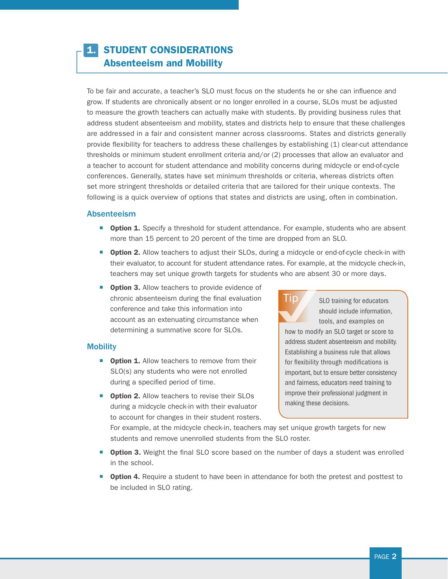## **STUDENT CONSIDERATIONS** Absenteeism and Mobility

To be fair and accurate, a teacher's SLO must focus on the students he or she can influence and grow. If students are chronically absent or no longer enrolled in a course, SLOs must be adjusted to measure the growth teachers can actually make with students. By providing business rules that address student absenteeism and mobility, states and districts help to ensure that these challenges are addressed in a fair and consistent manner across classrooms. States and districts generally provide flexibility for teachers to address these challenges by establishing (1) clear-cut attendance thresholds or minimum student enrollment criteria and/or (2) processes that allow an evaluator and a teacher to account for student attendance and mobility concerns during midcycle or end-of-cycle conferences. Generally, states have set minimum thresholds or criteria, whereas districts often set more stringent thresholds or detailed criteria that are tailored for their unique contexts. The following is a quick overview of options that states and districts are using, often in combination.

#### Absenteeism

- **Option 1.** Specify a threshold for student attendance. For example, students who are absent more than 15 percent to 20 percent of the time are dropped from an SLO.
- **Option 2.** Allow teachers to adjust their SLOs, during a midcycle or end-of-cycle check-in with their evaluator, to account for student attendance rates. For example, at the midcycle check-in, teachers may set unique growth targets for students who are absent 30 or more days.
- **Option 3.** Allow teachers to provide evidence of chronic absenteeism during the final evaluation conference and take this information into account as an extenuating circumstance when determining a summative score for SLOs.

#### **Mobility**

- **Option 1.** Allow teachers to remove from their SLO(s) any students who were not enrolled during a specified period of time.
- **Option 2.** Allow teachers to revise their SLOs during a midcycle check-in with their evaluator to account for changes in their student rosters.



SLO training for educators should include information, tools, and examples on

how to modify an SLO target or score to address student absenteeism and mobility. Establishing a business rule that allows for flexibility through modifications is important, but to ensure better consistency and fairness, educators need training to improve their professional judgment in making these decisions.

For example, at the midcycle check-in, teachers may set unique growth targets for new students and remove unenrolled students from the SLO roster.

- **Option 3.** Weight the final SLO score based on the number of days a student was enrolled in the school.
- **Option 4.** Require a student to have been in attendance for both the pretest and posttest to be included in SLO rating.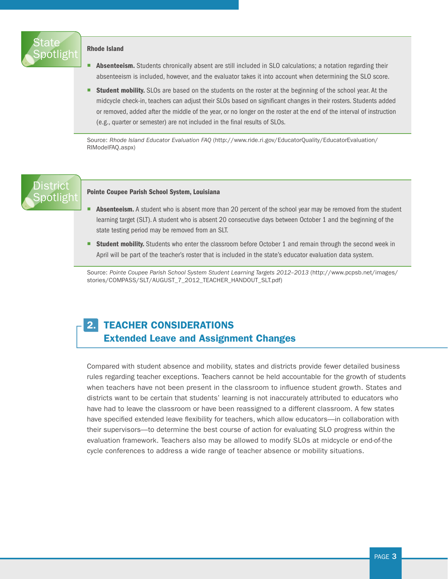

#### Rhode Island

- Absenteeism. Students chronically absent are still included in SLO calculations; a notation regarding their absenteeism is included, however, and the evaluator takes it into account when determining the SLO score.
- **Student mobility.** SLOs are based on the students on the roster at the beginning of the school year. At the midcycle check-in, teachers can adjust their SLOs based on significant changes in their rosters. Students added or removed, added after the middle of the year, or no longer on the roster at the end of the interval of instruction (e.g., quarter or semester) are not included in the final results of SLOs.

Source: *Rhode Island Educator Evaluation FAQ* ([http://www.ride.ri.gov/EducatorQuality/EducatorEvaluation/](http://www.ride.ri.gov/EducatorQuality/EducatorEvaluation/RIModelFAQ.aspx) [RIModelFAQ.aspx\)](http://www.ride.ri.gov/EducatorQuality/EducatorEvaluation/RIModelFAQ.aspx)

## **District** ootligh

#### Pointe Coupee Parish School System, Louisiana

- Absenteeism. A student who is absent more than 20 percent of the school year may be removed from the student learning target (SLT). A student who is absent 20 consecutive days between October 1 and the beginning of the state testing period may be removed from an SLT.
- **EXTURN STATE:** Students who enter the classroom before October 1 and remain through the second week in April will be part of the teacher's roster that is included in the state's educator evaluation data system.

Source: Pointe Coupee Parish School System Student Learning Targets 2012-2013 [\(http://www.pcpsb.net/images/](http://www.pcpsb.net/images/stories/COMPASS/SLT/AUGUST_7_2012_TEACHER_HANDOUT_SLT.pdf) [stories/COMPASS/SLT/AUGUST\\_7\\_2012\\_TEACHER\\_HANDOUT\\_SLT.pdf](http://www.pcpsb.net/images/stories/COMPASS/SLT/AUGUST_7_2012_TEACHER_HANDOUT_SLT.pdf))

## 2. TEACHER CONSIDERATIONS Extended Leave and Assignment Changes

Compared with student absence and mobility, states and districts provide fewer detailed business rules regarding teacher exceptions. Teachers cannot be held accountable for the growth of students when teachers have not been present in the classroom to influence student growth. States and districts want to be certain that students' learning is not inaccurately attributed to educators who have had to leave the classroom or have been reassigned to a different classroom. A few states have specified extended leave flexibility for teachers, which allow educators—in collaboration with their supervisors—to determine the best course of action for evaluating SLO progress within the evaluation framework. Teachers also may be allowed to modify SLOs at midcycle or end-of-the cycle conferences to address a wide range of teacher absence or mobility situations.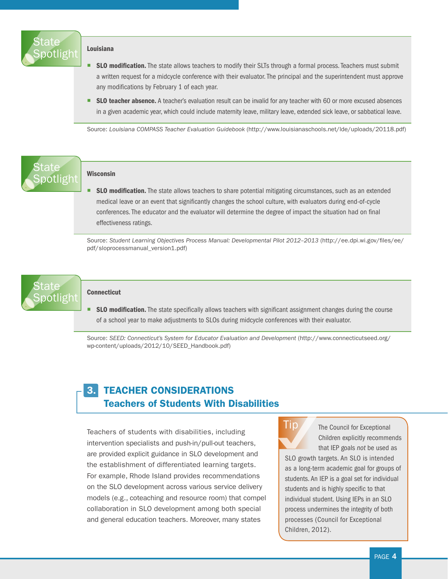

#### Louisiana

- **SLO modification.** The state allows teachers to modify their SLTs through a formal process. Teachers must submit a written request for a midcycle conference with their evaluator. The principal and the superintendent must approve any modifications by February 1 of each year.
- SLO teacher absence. A teacher's evaluation result can be invalid for any teacher with 60 or more excused absences in a given academic year, which could include maternity leave, military leave, extended sick leave, or sabbatical leave.

Source: *Louisiana COMPASS Teacher Evaluation Guidebook* ([http://www.louisianaschools.net/lde/uploads/20118.pdf\)](http://www.louisianaschools.net/lde/uploads/20118.pdf)

## State otlight

#### Wisconsin

**SLO modification.** The state allows teachers to share potential mitigating circumstances, such as an extended medical leave or an event that significantly changes the school culture, with evaluators during end-of-cycle conferences. The educator and the evaluator will determine the degree of impact the situation had on final effectiveness ratings.

Source: *Student Learning Objectives Process Manual: Developmental Pilot 2012–2013* ([http://ee.dpi.wi.gov/files/ee/](http://ee.dpi.wi.gov/files/ee/pdf/sloprocessmanual_version1.pdf) [pdf/sloprocessmanual\\_version1.pdf](http://ee.dpi.wi.gov/files/ee/pdf/sloprocessmanual_version1.pdf))



#### **Connecticut**

**SLO modification.** The state specifically allows teachers with significant assignment changes during the course of a school year to make adjustments to SLOs during midcycle conferences with their evaluator.

Source: *SEED: Connecticut's System for Educator Evaluation and Development* [\(http://www.connecticutseed.org/](http://www.connecticutseed.org/wp-content/uploads/2012/10/SEED_Handbook.pdf) [wp-content/uploads/2012/10/SEED\\_Handbook.pdf\)](http://www.connecticutseed.org/wp-content/uploads/2012/10/SEED_Handbook.pdf)

## 3. TEACHER CONSIDERATIONS Teachers of Students With Disabilities

Teachers of students with disabilities, including intervention specialists and push-in/pull-out teachers, are provided explicit guidance in SLO development and the establishment of differentiated learning targets. For example, Rhode Island provides recommendations on the SLO development across various service delivery models (e.g., coteaching and resource room) that compel collaboration in SLO development among both special and general education teachers. Moreover, many states



The Council for Exceptional Children explicitly recommends that IEP goals *not* be used as

SLO growth targets. An SLO is intended as a long-term academic goal for groups of students. An IEP is a goal set for individual students and is highly specific to that individual student. Using IEPs in an SLO process undermines the integrity of both processes (Council for Exceptional Children, 2012).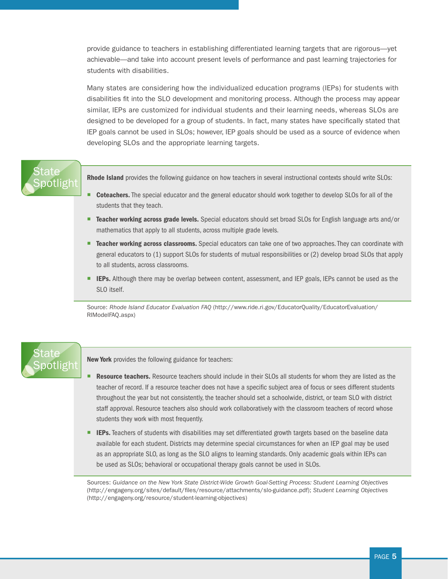provide guidance to teachers in establishing differentiated learning targets that are rigorous—yet achievable—and take into account present levels of performance and past learning trajectories for students with disabilities.

Many states are considering how the individualized education programs (IEPs) for students with disabilities fit into the SLO development and monitoring process. Although the process may appear similar, IEPs are customized for individual students and their learning needs, whereas SLOs are designed to be developed for a group of students. In fact, many states have specifically stated that IEP goals cannot be used in SLOs; however, IEP goals should be used as a source of evidence when developing SLOs and the appropriate learning targets.

## State [Spotlight](http://www.ride.ri.gov/EducatorQuality/EducatorEvaluation/RIModelFAQ.aspx)

Rhode Island provides the following guidance on how teachers in several instructional contexts should write SLOs:

- **Coteachers.** The special educator and the general educator should work together to develop SLOs for all of the students that they teach.
- **E** Teacher working across grade levels. Special educators should set broad SLOs for English language arts and/or mathematics that apply to all students, across multiple grade levels.
- **Example 2** Teacher working across classrooms. Special educators can take one of two approaches. They can coordinate with general educators to (1) support SLOs for students of mutual responsibilities or (2) develop broad SLOs that apply to all students, across classrooms.
- **EPS.** Although there may be overlap between content, assessment, and IEP goals, IEPs cannot be used as the SLO itself.

Source: *Rhode Island Educator Evaluation FAQ* ([http://www.ride.ri.gov/EducatorQuality/EducatorEvaluation/](http://www.ride.ri.gov/EducatorQuality/EducatorEvaluation/RIModelFAQ.aspx) [RIModelFAQ.aspx\)](http://www.ride.ri.gov/EducatorQuality/EducatorEvaluation/RIModelFAQ.aspx)

## State<sup>®</sup> [Spotlight](http://engageny.org/resource/student-learning-objectives)

New York provides the following guidance for teachers:

- **Resource teachers.** Resource teachers should include in their SLOs all students for whom they are listed as the teacher of record. If a resource teacher does not have a specific subject area of focus or sees different students throughout the year but not consistently, the teacher should set a schoolwide, district, or team SLO with district staff approval. Resource teachers also should work collaboratively with the classroom teachers of record whose students they work with most frequently.
- **EPs.** Teachers of students with disabilities may set differentiated growth targets based on the baseline data available for each student. Districts may determine special circumstances for when an IEP goal may be used as an appropriate SLO, as long as the SLO aligns to learning standards. Only academic goals within IEPs can be used as SLOs; behavioral or occupational therapy goals cannot be used in SLOs.

Sources: *Guidance on the New York State District-Wide Growth Goal-Setting Process: Student Learning Objectives* [\(http://engageny.org/sites/default/files/resource/attachments/slo-guidance.pdf\)](http://engageny.org/sites/default/files/resource/attachments/slo-guidance.pdf); *Student Learning Objectives*  [\(http://engageny.org/resource/student-learning-objectives](http://engageny.org/resource/student-learning-objectives))